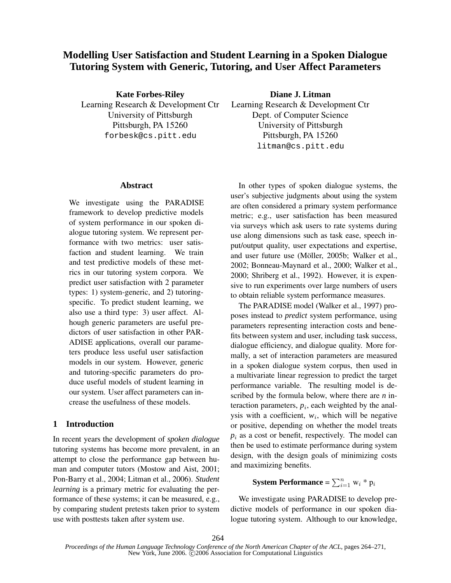# **Modelling User Satisfaction and Student Learning in a Spoken Dialogue Tutoring System with Generic, Tutoring, and User Affect Parameters**

**Kate Forbes-Riley** Learning Research & Development Ctr University of Pittsburgh Pittsburgh, PA 15260 forbesk@cs.pitt.edu

**Diane J. Litman**

Learning Research & Development Ctr Dept. of Computer Science University of Pittsburgh Pittsburgh, PA 15260 litman@cs.pitt.edu

### **Abstract**

We investigate using the PARADISE framework to develop predictive models of system performance in our spoken dialogue tutoring system. We represent performance with two metrics: user satisfaction and student learning. We train and test predictive models of these metrics in our tutoring system corpora. We predict user satisfaction with 2 parameter types: 1) system-generic, and 2) tutoringspecific. To predict student learning, we also use a third type: 3) user affect. Alhough generic parameters are useful predictors of user satisfaction in other PAR-ADISE applications, overall our parameters produce less useful user satisfaction models in our system. However, generic and tutoring-specific parameters do produce useful models of student learning in our system. User affect parameters can increase the usefulness of these models.

### **1 Introduction**

In recent years the development of *spoken dialogue* tutoring systems has become more prevalent, in an attempt to close the performance gap between human and computer tutors (Mostow and Aist, 2001; Pon-Barry et al., 2004; Litman et al., 2006). *Student learning* is a primary metric for evaluating the performance of these systems; it can be measured, e.g., by comparing student pretests taken prior to system use with posttests taken after system use.

In other types of spoken dialogue systems, the user's subjective judgments about using the system are often considered a primary system performance metric; e.g., user satisfaction has been measured via surveys which ask users to rate systems during use along dimensions such as task ease, speech input/output quality, user expectations and expertise, and user future use (Möller, 2005b; Walker et al., 2002; Bonneau-Maynard et al., 2000; Walker et al., 2000; Shriberg et al., 1992). However, it is expensive to run experiments over large numbers of users to obtain reliable system performance measures.

The PARADISE model (Walker et al., 1997) proposes instead to *predict* system performance, using parameters representing interaction costs and benefits between system and user, including task success, dialogue efficiency, and dialogue quality. More formally, a set of interaction parameters are measured in a spoken dialogue system corpus, then used in a multivariate linear regression to predict the target performance variable. The resulting model is described by the formula below, where there are *n* interaction parameters,  $p<sub>i</sub>$ , each weighted by the analysis with a coefficient,  $w_i$ , which will be negative or positive, depending on whether the model treats  $p_i$  as a cost or benefit, respectively. The model can then be used to estimate performance during system design, with the design goals of minimizing costs and maximizing benefits.

# **System Performance** =  $\sum_{i=1}^{n}$  w<sub>i</sub> \* p<sub>i</sub>

We investigate using PARADISE to develop predictive models of performance in our spoken dialogue tutoring system. Although to our knowledge,

*Proceedings of the Human Language Technology Conference of the North American Chapter of the ACL*, pages 264–271, New York, June 2006.  $\ddot{\text{C}}$ 2006 Association for Computational Linguistics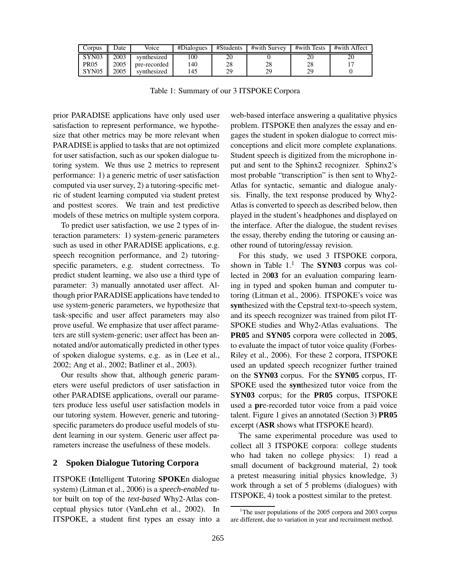| Corpus            | Date | Voice        | #Dialogues | #Students | #with Survey | #with Tests | #with Affect |
|-------------------|------|--------------|------------|-----------|--------------|-------------|--------------|
| SYN03             | 2003 | synthesized  | 00         | 20        |              |             |              |
| <b>PR05</b>       | 2005 | pre-recorded | 140        | 28        | 28           | 28          |              |
| SYN <sub>05</sub> | 2005 | synthesized  | 45         | 29        | 29           |             |              |

Table 1: Summary of our 3 ITSPOKE Corpora

prior PARADISE applications have only used user satisfaction to represent performance, we hypothesize that other metrics may be more relevant when PARADISE is applied to tasks that are not optimized for user satisfaction, such as our spoken dialogue tutoring system. We thus use 2 metrics to represent performance: 1) a generic metric of user satisfaction computed via user survey, 2) a tutoring-specific metric of student learning computed via student pretest and posttest scores. We train and test predictive models of these metrics on multiple system corpora.

To predict user satisfaction, we use 2 types of interaction parameters: 1) system-generic parameters such as used in other PARADISE applications, e.g. speech recognition performance, and 2) tutoringspecific parameters, e.g. student correctness. To predict student learning, we also use a third type of parameter: 3) manually annotated user affect. Although prior PARADISE applications have tended to use system-generic parameters, we hypothesize that task-specific and user affect parameters may also prove useful. We emphasize that user affect parameters are still system-generic; user affect has been annotated and/or automatically predicted in other types of spoken dialogue systems, e.g. as in (Lee et al., 2002; Ang et al., 2002; Batliner et al., 2003).

Our results show that, although generic parameters were useful predictors of user satisfaction in other PARADISE applications, overall our parameters produce less useful user satisfaction models in our tutoring system. However, generic and tutoringspecific parameters do produce useful models of student learning in our system. Generic user affect parameters increase the usefulness of these models.

# **2 Spoken Dialogue Tutoring Corpora**

ITSPOKE (**I**ntelligent **T**utoring **SPOKE**n dialogue system) (Litman et al., 2006) is a *speech-enabled* tutor built on top of the *text-based* Why2-Atlas conceptual physics tutor (VanLehn et al., 2002). In ITSPOKE, a student first types an essay into a web-based interface answering a qualitative physics problem. ITSPOKE then analyzes the essay and engages the student in spoken dialogue to correct misconceptions and elicit more complete explanations. Student speech is digitized from the microphone input and sent to the Sphinx2 recognizer. Sphinx2's most probable "transcription" is then sent to Why2- Atlas for syntactic, semantic and dialogue analysis. Finally, the text response produced by Why2- Atlas is converted to speech as described below, then played in the student's headphones and displayed on the interface. After the dialogue, the student revises the essay, thereby ending the tutoring or causing another round of tutoring/essay revision.

For this study, we used 3 ITSPOKE corpora, shown in Table  $1<sup>1</sup>$  The **SYN03** corpus was collected in 20**03** for an evaluation comparing learning in typed and spoken human and computer tutoring (Litman et al., 2006). ITSPOKE's voice was **syn**thesized with the Cepstral text-to-speech system, and its speech recognizer was trained from pilot IT-SPOKE studies and Why2-Atlas evaluations. The **PR05** and **SYN05** corpora were collected in 20**05**, to evaluate the impact of tutor voice quality (Forbes-Riley et al., 2006). For these 2 corpora, ITSPOKE used an updated speech recognizer further trained on the **SYN03** corpus. For the **SYN05** corpus, IT-SPOKE used the **syn**thesized tutor voice from the **SYN03** corpus; for the **PR05** corpus, ITSPOKE used a **pr**e-recorded tutor voice from a paid voice talent. Figure 1 gives an annotated (Section 3) **PR05** excerpt (**ASR** shows what ITSPOKE heard).

The same experimental procedure was used to collect all 3 ITSPOKE corpora: college students who had taken no college physics: 1) read a small document of background material, 2) took a pretest measuring initial physics knowledge, 3) work through a set of 5 problems (dialogues) with ITSPOKE, 4) took a posttest similar to the pretest.

<sup>&</sup>lt;sup>1</sup>The user populations of the 2005 corpora and 2003 corpus are different, due to variation in year and recruitment method.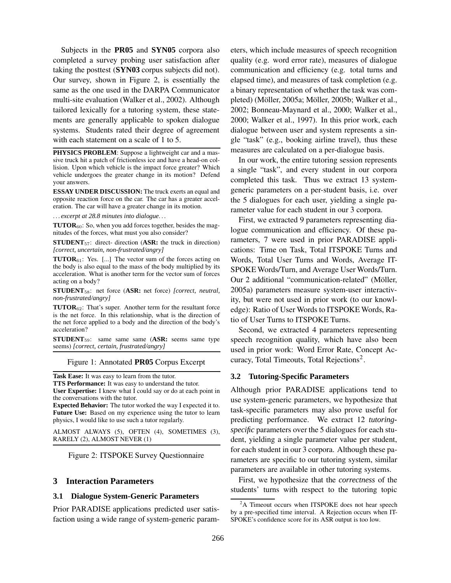Subjects in the **PR05** and **SYN05** corpora also completed a survey probing user satisfaction after taking the posttest (**SYN03** corpus subjects did not). Our survey, shown in Figure 2, is essentially the same as the one used in the DARPA Communicator multi-site evaluation (Walker et al., 2002). Although tailored lexically for a tutoring system, these statements are generally applicable to spoken dialogue systems. Students rated their degree of agreement with each statement on a scale of 1 to 5.

**PHYSICS PROBLEM**: Suppose a lightweight car and a massive truck hit a patch of frictionless ice and have a head-on collision. Upon which vehicle is the impact force greater? Which vehicle undergoes the greater change in its motion? Defend your answers.

**ESSAY UNDER DISCUSSION:** The truck exerts an equal and opposite reaction force on the car. The car has a greater acceleration. The car will have a greater change in its motion.

. . . *excerpt at 28.8 minutes into dialogue*. . .

**TUTOR**<sub>60</sub>: So, when you add forces together, besides the magnitudes of the forces, what must you also consider?

**STUDENT**<sub>57</sub>: direct- direction (**ASR:** the truck in direction) *[correct, uncertain, non-frustrated/angry]*

**TUTOR**61: Yes. [...] The vector sum of the forces acting on the body is also equal to the mass of the body multiplied by its acceleration. What is another term for the vector sum of forces acting on a body?

**STUDENT**58: net force (**ASR:** net force) *[correct, neutral, non-frustrated/angry]*

**TUTOR**62: That's super. Another term for the resultant force is the net force. In this relationship, what is the direction of the net force applied to a body and the direction of the body's acceleration?

**STUDENT**59: same same same (**ASR:** seems same type seems) *[correct, certain, frustrated/angry]*

Figure 1: Annotated **PR05** Corpus Excerpt

**Task Ease:** It was easy to learn from the tutor.

**TTS Performance:** It was easy to understand the tutor.

**User Expertise:** I knew what I could say or do at each point in the conversations with the tutor.

**Expected Behavior:** The tutor worked the way I expected it to. **Future Use:** Based on my experience using the tutor to learn physics, I would like to use such a tutor regularly.

ALMOST ALWAYS (5), OFTEN (4), SOMETIMES (3), RARELY (2), ALMOST NEVER (1)

Figure 2: ITSPOKE Survey Questionnaire

## **3 Interaction Parameters**

## **3.1 Dialogue System-Generic Parameters**

Prior PARADISE applications predicted user satisfaction using a wide range of system-generic parameters, which include measures of speech recognition quality (e.g. word error rate), measures of dialogue communication and efficiency (e.g. total turns and elapsed time), and measures of task completion (e.g. a binary representation of whether the task was completed) (Möller, 2005a; Möller, 2005b; Walker et al., 2002; Bonneau-Maynard et al., 2000; Walker et al., 2000; Walker et al., 1997). In this prior work, each dialogue between user and system represents a single "task" (e.g., booking airline travel), thus these measures are calculated on a per-dialogue basis.

In our work, the entire tutoring session represents a single "task", and every student in our corpora completed this task. Thus we extract 13 systemgeneric parameters on a per-student basis, i.e. over the 5 dialogues for each user, yielding a single parameter value for each student in our 3 corpora.

First, we extracted 9 parameters representing dialogue communication and efficiency. Of these parameters, 7 were used in prior PARADISE applications: Time on Task, Total ITSPOKE Turns and Words, Total User Turns and Words, Average IT-SPOKE Words/Turn, and Average User Words/Turn. Our 2 additional "communication-related" (Möller, 2005a) parameters measure system-user interactivity, but were not used in prior work (to our knowledge): Ratio of User Words to ITSPOKE Words, Ratio of User Turns to ITSPOKE Turns.

Second, we extracted 4 parameters representing speech recognition quality, which have also been used in prior work: Word Error Rate, Concept Accuracy, Total Timeouts, Total Rejections<sup>2</sup>.

#### **3.2 Tutoring-Specific Parameters**

Although prior PARADISE applications tend to use system-generic parameters, we hypothesize that task-specific parameters may also prove useful for predicting performance. We extract 12 *tutoringspecific* parameters over the 5 dialogues for each student, yielding a single parameter value per student, for each student in our 3 corpora. Although these parameters are specific to our tutoring system, similar parameters are available in other tutoring systems.

First, we hypothesize that the *correctness* of the students' turns with respect to the tutoring topic

<sup>&</sup>lt;sup>2</sup>A Timeout occurs when ITSPOKE does not hear speech by a pre-specified time interval. A Rejection occurs when IT-SPOKE's confidence score for its ASR output is too low.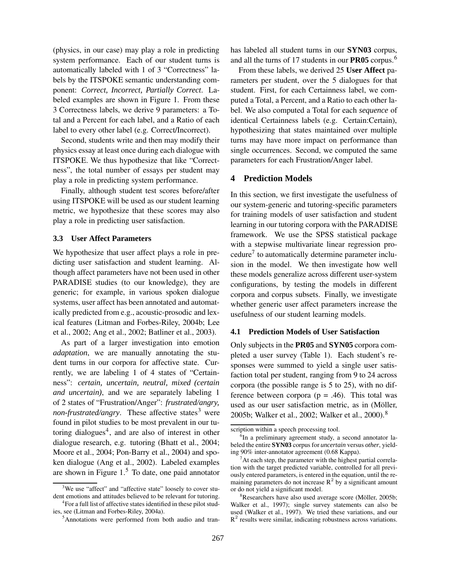(physics, in our case) may play a role in predicting system performance. Each of our student turns is automatically labeled with 1 of 3 "Correctness" labels by the ITSPOKE semantic understanding component: *Correct, Incorrect, Partially Correct*. Labeled examples are shown in Figure 1. From these 3 Correctness labels, we derive 9 parameters: a Total and a Percent for each label, and a Ratio of each label to every other label (e.g. Correct/Incorrect).

Second, students write and then may modify their physics essay at least once during each dialogue with ITSPOKE. We thus hypothesize that like "Correctness", the total number of essays per student may play a role in predicting system performance.

Finally, although student test scores before/after using ITSPOKE will be used as our student learning metric, we hypothesize that these scores may also play a role in predicting user satisfaction.

### **3.3 User Affect Parameters**

We hypothesize that user affect plays a role in predicting user satisfaction and student learning. Although affect parameters have not been used in other PARADISE studies (to our knowledge), they are generic; for example, in various spoken dialogue systems, user affect has been annotated and automatically predicted from e.g., acoustic-prosodic and lexical features (Litman and Forbes-Riley, 2004b; Lee et al., 2002; Ang et al., 2002; Batliner et al., 2003).

As part of a larger investigation into emotion *adaptation*, we are manually annotating the student turns in our corpora for affective state. Currently, we are labeling 1 of 4 states of "Certainness": *certain, uncertain, neutral, mixed (certain and uncertain)*, and we are separately labeling 1 of 2 states of "Frustration/Anger": *frustrated/angry, non-frustrated/angry*. These affective states<sup>3</sup> were found in pilot studies to be most prevalent in our tutoring dialogues<sup>4</sup>, and are also of interest in other dialogue research, e.g. tutoring (Bhatt et al., 2004; Moore et al., 2004; Pon-Barry et al., 2004) and spoken dialogue (Ang et al., 2002). Labeled examples are shown in Figure  $1<sup>5</sup>$  To date, one paid annotator

has labeled all student turns in our **SYN03** corpus, and all the turns of 17 students in our **PR05** corpus.<sup>6</sup>

From these labels, we derived 25 **User Affect** parameters per student, over the 5 dialogues for that student. First, for each Certainness label, we computed a Total, a Percent, and a Ratio to each other label. We also computed a Total for each *sequence* of identical Certainness labels (e.g. Certain:Certain), hypothesizing that states maintained over multiple turns may have more impact on performance than single occurrences. Second, we computed the same parameters for each Frustration/Anger label.

## **4 Prediction Models**

In this section, we first investigate the usefulness of our system-generic and tutoring-specific parameters for training models of user satisfaction and student learning in our tutoring corpora with the PARADISE framework. We use the SPSS statistical package with a stepwise multivariate linear regression procedure<sup>7</sup> to automatically determine parameter inclusion in the model. We then investigate how well these models generalize across different user-system configurations, by testing the models in different corpora and corpus subsets. Finally, we investigate whether generic user affect parameters increase the usefulness of our student learning models.

### **4.1 Prediction Models of User Satisfaction**

Only subjects in the **PR05** and **SYN05** corpora completed a user survey (Table 1). Each student's responses were summed to yield a single user satisfaction total per student, ranging from 9 to 24 across corpora (the possible range is 5 to 25), with no difference between corpora ( $p = .46$ ). This total was used as our user satisfaction metric, as in (Möller, 2005b; Walker et al., 2002; Walker et al., 2000).<sup>8</sup>

<sup>&</sup>lt;sup>3</sup>We use "affect" and "affective state" loosely to cover student emotions and attitudes believed to be relevant for tutoring.

<sup>4</sup>For a full list of affective states identified in these pilot studies, see (Litman and Forbes-Riley, 2004a).

<sup>5</sup>Annotations were performed from both audio and tran-

scription within a speech processing tool.

<sup>&</sup>lt;sup>6</sup>In a preliminary agreement study, a second annotator labeled the entire **SYN03** corpus for *uncertain* versus *other*, yielding 90% inter-annotator agreement (0.68 Kappa).

 $<sup>7</sup>$ At each step, the parameter with the highest partial correla-</sup> tion with the target predicted variable, controlled for all previously entered parameters, is entered in the equation, until the remaining parameters do not increase  $R^2$  by a significant amount or do not yield a significant model.

 $8$ Researchers have also used average score (Möller, 2005b; Walker et al., 1997); single survey statements can also be used (Walker et al., 1997). We tried these variations, and our  $R<sup>2</sup>$  results were similar, indicating robustness across variations.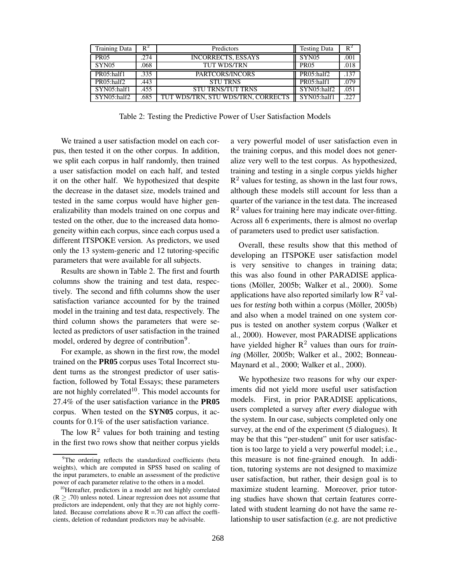| <b>Training Data</b> | $R^2$ | Predictors                         | <b>Testing Data</b> | $R^2$ |
|----------------------|-------|------------------------------------|---------------------|-------|
| <b>PR05</b>          | .274  | <b>INCORRECTS, ESSAYS</b>          | SYN <sub>05</sub>   | .001  |
| SYN <sub>05</sub>    | .068  | TUT WDS/TRN                        | <b>PR05</b>         | .018  |
| PR05:half1           | .335  | PARTCORS/INCORS                    | PR05:half2          | .137  |
| PR05:half2           | .443  | <b>STU TRNS</b>                    | PR05:half1          | .079  |
| SYN05:half1          | .455  | <b>STU TRNS/TUT TRNS</b>           | SYN05:half2         | .051  |
| SYN05:half2          | .685  | TUT WDS/TRN, STU WDS/TRN, CORRECTS | SYN05:half1         | 227   |

Table 2: Testing the Predictive Power of User Satisfaction Models

We trained a user satisfaction model on each corpus, then tested it on the other corpus. In addition, we split each corpus in half randomly, then trained a user satisfaction model on each half, and tested it on the other half. We hypothesized that despite the decrease in the dataset size, models trained and tested in the same corpus would have higher generalizability than models trained on one corpus and tested on the other, due to the increased data homogeneity within each corpus, since each corpus used a different ITSPOKE version. As predictors, we used only the 13 system-generic and 12 tutoring-specific parameters that were available for all subjects.

Results are shown in Table 2. The first and fourth columns show the training and test data, respectively. The second and fifth columns show the user satisfaction variance accounted for by the trained model in the training and test data, respectively. The third column shows the parameters that were selected as predictors of user satisfaction in the trained model, ordered by degree of contribution<sup>9</sup>.

For example, as shown in the first row, the model trained on the **PR05** corpus uses Total Incorrect student turns as the strongest predictor of user satisfaction, followed by Total Essays; these parameters are not highly correlated $10$ . This model accounts for 27.4% of the user satisfaction variance in the **PR05** corpus. When tested on the **SYN05** corpus, it accounts for 0.1% of the user satisfaction variance.

The low  $\mathbb{R}^2$  values for both training and testing in the first two rows show that neither corpus yields a very powerful model of user satisfaction even in the training corpus, and this model does not generalize very well to the test corpus. As hypothesized, training and testing in a single corpus yields higher  $R<sup>2</sup>$  values for testing, as shown in the last four rows, although these models still account for less than a quarter of the variance in the test data. The increased  $\mathbf{\hat{R}}^2$  values for training here may indicate over-fitting. Across all 6 experiments, there is almost no overlap of parameters used to predict user satisfaction.

Overall, these results show that this method of developing an ITSPOKE user satisfaction model is very sensitive to changes in training data; this was also found in other PARADISE applications (Möller, 2005b; Walker et al., 2000). Some applications have also reported similarly low  $\mathbb{R}^2$  values for *testing* both within a corpus (Möller, 2005b) and also when a model trained on one system corpus is tested on another system corpus (Walker et al., 2000). However, most PARADISE applications have yielded higher R <sup>2</sup> values than ours for *train*ing (Möller, 2005b; Walker et al., 2002; Bonneau-Maynard et al., 2000; Walker et al., 2000).

We hypothesize two reasons for why our experiments did not yield more useful user satisfaction models. First, in prior PARADISE applications, users completed a survey after *every* dialogue with the system. In our case, subjects completed only one survey, at the end of the experiment (5 dialogues). It may be that this "per-student" unit for user satisfaction is too large to yield a very powerful model; i.e., this measure is not fine-grained enough. In addition, tutoring systems are not designed to maximize user satisfaction, but rather, their design goal is to maximize student learning. Moreover, prior tutoring studies have shown that certain features correlated with student learning do not have the same relationship to user satisfaction (e.g. are not predictive

<sup>&</sup>lt;sup>9</sup>The ordering reflects the standardized coefficients (beta weights), which are computed in SPSS based on scaling of the input parameters, to enable an assessment of the predictive power of each parameter relative to the others in a model.

<sup>&</sup>lt;sup>10</sup>Hereafter, predictors in a model are not highly correlated  $(R > .70)$  unless noted. Linear regression does not assume that predictors are independent, only that they are not highly correlated. Because correlations above  $R = 70$  can affect the coefficients, deletion of redundant predictors may be advisable.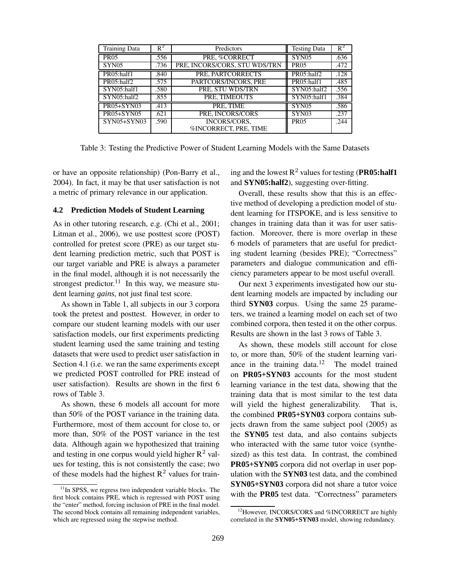| <b>Training Data</b> | $R^2$ | Predictors                            | <b>Testing Data</b> | $R^2$ |
|----------------------|-------|---------------------------------------|---------------------|-------|
| <b>PR05</b>          | .556  | PRE, %CORRECT                         | SYN <sub>05</sub>   | .636  |
| SYN05                | .736  | PRE, INCORS/CORS, STU WDS/TRN         | <b>PR05</b>         | .472  |
| PR05:half1           | .840  | PRE, PARTCORRECTS                     | PR05:half2          | .128  |
| PR05:half2           | .575  | PARTCORS/INCORS, PRE                  | PR05:half1          | .485  |
| SYN05:half1          | .580  | PRE. STU WDS/TRN                      | SYN05:half2         | .556  |
| SYN05:half2          | .855  | PRE. TIMEOUTS                         | SYN05:half1         | .384  |
| <b>PR05+SYN03</b>    | .413  | PRE. TIME                             | SYN <sub>05</sub>   | .586  |
| <b>PR05+SYN05</b>    | .621  | PRE, INCORS/CORS                      | SYN <sub>03</sub>   | .237  |
| SYN05+SYN03          | .590  | INCORS/CORS.<br>%INCORRECT, PRE, TIME | <b>PR05</b>         | .244  |
|                      |       |                                       |                     |       |

Table 3: Testing the Predictive Power of Student Learning Models with the Same Datasets

or have an opposite relationship) (Pon-Barry et al., 2004). In fact, it may be that user satisfaction is not a metric of primary relevance in our application.

## **4.2 Prediction Models of Student Learning**

As in other tutoring research, e.g. (Chi et al., 2001; Litman et al., 2006), we use posttest score (POST) controlled for pretest score (PRE) as our target student learning prediction metric, such that POST is our target variable and PRE is always a parameter in the final model, although it is not necessarily the strongest predictor.<sup>11</sup> In this way, we measure student learning *gains*, not just final test score.

As shown in Table 1, all subjects in our 3 corpora took the pretest and posttest. However, in order to compare our student learning models with our user satisfaction models, our first experiments predicting student learning used the same training and testing datasets that were used to predict user satisfaction in Section 4.1 (i.e. we ran the same experiments except we predicted POST controlled for PRE instead of user satisfaction). Results are shown in the first 6 rows of Table 3.

As shown, these 6 models all account for more than 50% of the POST variance in the training data. Furthermore, most of them account for close to, or more than, 50% of the POST variance in the test data. Although again we hypothesized that training and testing in one corpus would yield higher  $\mathbb{R}^2$  values for testing, this is not consistently the case; two of these models had the highest  $R^2$  values for train-

ing and the lowest R <sup>2</sup> values for testing (**PR05:half1** and **SYN05:half2**), suggesting over-fitting.

Overall, these results show that this is an effective method of developing a prediction model of student learning for ITSPOKE, and is less sensitive to changes in training data than it was for user satisfaction. Moreover, there is more overlap in these 6 models of parameters that are useful for predicting student learning (besides PRE); "Correctness" parameters and dialogue communication and efficiency parameters appear to be most useful overall.

Our next 3 experiments investigated how our student learning models are impacted by including our third **SYN03** corpus. Using the same 25 parameters, we trained a learning model on each set of two combined corpora, then tested it on the other corpus. Results are shown in the last 3 rows of Table 3.

As shown, these models still account for close to, or more than, 50% of the student learning variance in the training data.<sup>12</sup> The model trained on **PR05+SYN03** accounts for the most student learning variance in the test data, showing that the training data that is most similar to the test data will yield the highest generalizability. That is, the combined **PR05+SYN03** corpora contains subjects drawn from the same subject pool (2005) as the **SYN05** test data, and also contains subjects who interacted with the same tutor voice (synthesized) as this test data. In contrast, the combined **PR05+SYN05** corpora did not overlap in user population with the **SYN03** test data, and the combined **SYN05+SYN03** corpora did not share a tutor voice with the **PR05** test data. "Correctness" parameters

 $11$ In SPSS, we regress two independent variable blocks. The first block contains PRE, which is regressed with POST using the "enter" method, forcing inclusion of PRE in the final model. The second block contains all remaining independent variables, which are regressed using the stepwise method.

<sup>&</sup>lt;sup>12</sup>However, INCORS/CORS and %INCORRECT are highly correlated in the **SYN05+SYN03** model, showing redundancy.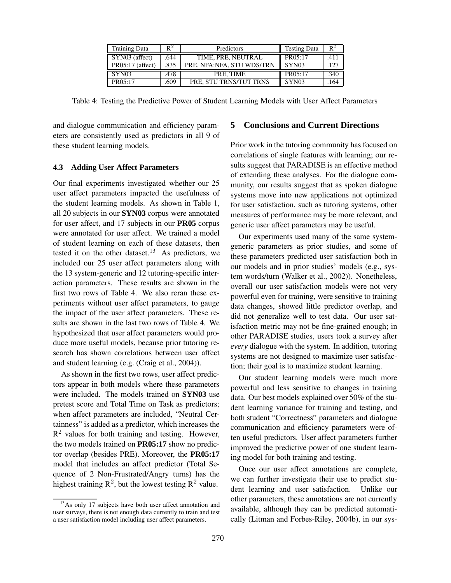| <b>Training Data</b> | $R^2$ | Predictors                | Testing Data      | $R^2$ |
|----------------------|-------|---------------------------|-------------------|-------|
| SYN03 (affect)       | .644  | TIME, PRE, NEUTRAL        | PR05:17           | .411  |
| $PR05:17$ (affect)   | .835  | PRE, NFA:NFA, STU WDS/TRN | SYN <sub>03</sub> |       |
| SYN <sub>03</sub>    | .478  | PRE. TIME                 | PR05:17           | .340  |
| PR(05:17)            | .609  | PRE. STU TRNS/TUT TRNS    | SYN <sub>03</sub> | 164   |

Table 4: Testing the Predictive Power of Student Learning Models with User Affect Parameters

and dialogue communication and efficiency parameters are consistently used as predictors in all 9 of these student learning models.

#### **4.3 Adding User Affect Parameters**

Our final experiments investigated whether our 25 user affect parameters impacted the usefulness of the student learning models. As shown in Table 1, all 20 subjects in our **SYN03** corpus were annotated for user affect, and 17 subjects in our **PR05** corpus were annotated for user affect. We trained a model of student learning on each of these datasets, then tested it on the other dataset.<sup>13</sup> As predictors, we included our 25 user affect parameters along with the 13 system-generic and 12 tutoring-specific interaction parameters. These results are shown in the first two rows of Table 4. We also reran these experiments without user affect parameters, to gauge the impact of the user affect parameters. These results are shown in the last two rows of Table 4. We hypothesized that user affect parameters would produce more useful models, because prior tutoring research has shown correlations between user affect and student learning (e.g. (Craig et al., 2004)).

As shown in the first two rows, user affect predictors appear in both models where these parameters were included. The models trained on **SYN03** use pretest score and Total Time on Task as predictors; when affect parameters are included, "Neutral Certainness" is added as a predictor, which increases the  $R<sup>2</sup>$  values for both training and testing. However, the two models trained on **PR05:17** show no predictor overlap (besides PRE). Moreover, the **PR05:17** model that includes an affect predictor (Total Sequence of 2 Non-Frustrated/Angry turns) has the highest training  $\mathbb{R}^2$ , but the lowest testing  $\mathbb{R}^2$  value.

## **5 Conclusions and Current Directions**

Prior work in the tutoring community has focused on correlations of single features with learning; our results suggest that PARADISE is an effective method of extending these analyses. For the dialogue community, our results suggest that as spoken dialogue systems move into new applications not optimized for user satisfaction, such as tutoring systems, other measures of performance may be more relevant, and generic user affect parameters may be useful.

Our experiments used many of the same systemgeneric parameters as prior studies, and some of these parameters predicted user satisfaction both in our models and in prior studies' models (e.g., system words/turn (Walker et al., 2002)). Nonetheless, overall our user satisfaction models were not very powerful even for training, were sensitive to training data changes, showed little predictor overlap, and did not generalize well to test data. Our user satisfaction metric may not be fine-grained enough; in other PARADISE studies, users took a survey after *every* dialogue with the system. In addition, tutoring systems are not designed to maximize user satisfaction; their goal is to maximize student learning.

Our student learning models were much more powerful and less sensitive to changes in training data. Our best models explained over 50% of the student learning variance for training and testing, and both student "Correctness" parameters and dialogue communication and efficiency parameters were often useful predictors. User affect parameters further improved the predictive power of one student learning model for both training and testing.

Once our user affect annotations are complete, we can further investigate their use to predict student learning and user satisfaction. Unlike our other parameters, these annotations are not currently available, although they can be predicted automatically (Litman and Forbes-Riley, 2004b), in our sys-

 $13$ As only 17 subjects have both user affect annotation and user surveys, there is not enough data currently to train and test a user satisfaction model including user affect parameters.